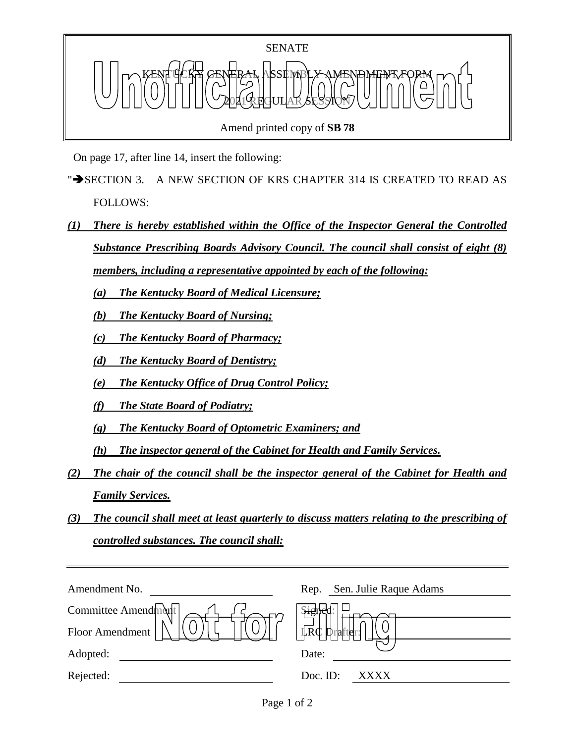

Amend printed copy of **SB 78**

On page 17, after line 14, insert the following:

- " $\rightarrow$  SECTION 3. A NEW SECTION OF KRS CHAPTER 314 IS CREATED TO READ AS FOLLOWS:
- *(1) There is hereby established within the Office of the Inspector General the Controlled Substance Prescribing Boards Advisory Council. The council shall consist of eight (8) members, including a representative appointed by each of the following:*

*(a) The Kentucky Board of Medical Licensure;*

*(b) The Kentucky Board of Nursing;*

*(c) The Kentucky Board of Pharmacy;*

*(d) The Kentucky Board of Dentistry;*

*(e) The Kentucky Office of Drug Control Policy;*

*(f) The State Board of Podiatry;*

*(g) The Kentucky Board of Optometric Examiners; and*

*(h) The inspector general of the Cabinet for Health and Family Services.*

- *(2) The chair of the council shall be the inspector general of the Cabinet for Health and Family Services.*
- *(3) The council shall meet at least quarterly to discuss matters relating to the prescribing of controlled substances. The council shall:*

| Sen. Julie Raque Adams<br>Rep.              |
|---------------------------------------------|
| <b>Signer</b>                               |
| $\mathbb{L}R\mathbb{C}$<br><b>D</b> rafter: |
| Date:                                       |
| Doc. ID:<br>XXXX                            |
|                                             |